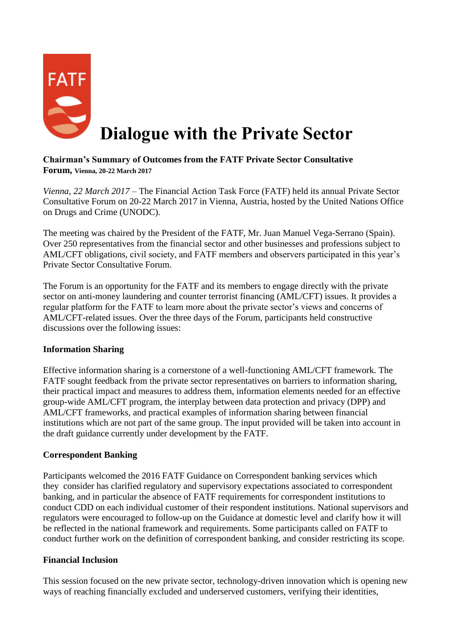

# **Dialogue with the Private Sector**

# **Chairman's Summary of Outcomes from the FATF Private Sector Consultative Forum, Vienna, 20-22 March 2017**

*Vienna, 22 March 2017* – The Financial Action Task Force (FATF) held its annual Private Sector Consultative Forum on 20-22 March 2017 in Vienna, Austria, hosted by the United Nations Office on Drugs and Crime (UNODC).

The meeting was chaired by the President of the FATF, Mr. Juan Manuel Vega-Serrano (Spain). Over 250 representatives from the financial sector and other businesses and professions subject to AML/CFT obligations, civil society, and FATF members and observers participated in this year's Private Sector Consultative Forum.

The Forum is an opportunity for the FATF and its members to engage directly with the private sector on anti-money laundering and counter terrorist financing (AML/CFT) issues. It provides a regular platform for the FATF to learn more about the private sector's views and concerns of AML/CFT-related issues. Over the three days of the Forum, participants held constructive discussions over the following issues:

# **Information Sharing**

Effective information sharing is a cornerstone of a well-functioning AML/CFT framework. The FATF sought feedback from the private sector representatives on barriers to information sharing, their practical impact and measures to address them, information elements needed for an effective group-wide AML/CFT program, the interplay between data protection and privacy (DPP) and AML/CFT frameworks, and practical examples of information sharing between financial institutions which are not part of the same group. The input provided will be taken into account in the draft guidance currently under development by the FATF.

# **Correspondent Banking**

Participants welcomed the 2016 FATF Guidance on Correspondent banking services which they consider has clarified regulatory and supervisory expectations associated to correspondent banking, and in particular the absence of FATF requirements for correspondent institutions to conduct CDD on each individual customer of their respondent institutions. National supervisors and regulators were encouraged to follow-up on the Guidance at domestic level and clarify how it will be reflected in the national framework and requirements. Some participants called on FATF to conduct further work on the definition of correspondent banking, and consider restricting its scope.

# **Financial Inclusion**

This session focused on the new private sector, technology-driven innovation which is opening new ways of reaching financially excluded and underserved customers, verifying their identities,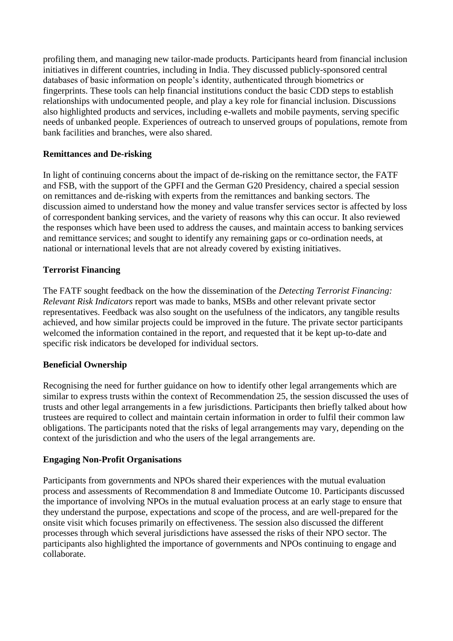profiling them, and managing new tailor-made products. Participants heard from financial inclusion initiatives in different countries, including in India. They discussed publicly-sponsored central databases of basic information on people's identity, authenticated through biometrics or fingerprints. These tools can help financial institutions conduct the basic CDD steps to establish relationships with undocumented people, and play a key role for financial inclusion. Discussions also highlighted products and services, including e-wallets and mobile payments, serving specific needs of unbanked people. Experiences of outreach to unserved groups of populations, remote from bank facilities and branches, were also shared.

# **Remittances and De-risking**

In light of continuing concerns about the impact of de-risking on the remittance sector, the FATF and FSB, with the support of the GPFI and the German G20 Presidency, chaired a special session on remittances and de-risking with experts from the remittances and banking sectors. The discussion aimed to understand how the money and value transfer services sector is affected by loss of correspondent banking services, and the variety of reasons why this can occur. It also reviewed the responses which have been used to address the causes, and maintain access to banking services and remittance services; and sought to identify any remaining gaps or co-ordination needs, at national or international levels that are not already covered by existing initiatives.

# **Terrorist Financing**

The FATF sought feedback on the how the dissemination of the *Detecting Terrorist Financing: Relevant Risk Indicators* report was made to banks, MSBs and other relevant private sector representatives. Feedback was also sought on the usefulness of the indicators, any tangible results achieved, and how similar projects could be improved in the future. The private sector participants welcomed the information contained in the report, and requested that it be kept up-to-date and specific risk indicators be developed for individual sectors.

### **Beneficial Ownership**

Recognising the need for further guidance on how to identify other legal arrangements which are similar to express trusts within the context of Recommendation 25, the session discussed the uses of trusts and other legal arrangements in a few jurisdictions. Participants then briefly talked about how trustees are required to collect and maintain certain information in order to fulfil their common law obligations. The participants noted that the risks of legal arrangements may vary, depending on the context of the jurisdiction and who the users of the legal arrangements are.

### **Engaging Non-Profit Organisations**

Participants from governments and NPOs shared their experiences with the mutual evaluation process and assessments of Recommendation 8 and Immediate Outcome 10. Participants discussed the importance of involving NPOs in the mutual evaluation process at an early stage to ensure that they understand the purpose, expectations and scope of the process, and are well-prepared for the onsite visit which focuses primarily on effectiveness. The session also discussed the different processes through which several jurisdictions have assessed the risks of their NPO sector. The participants also highlighted the importance of governments and NPOs continuing to engage and collaborate.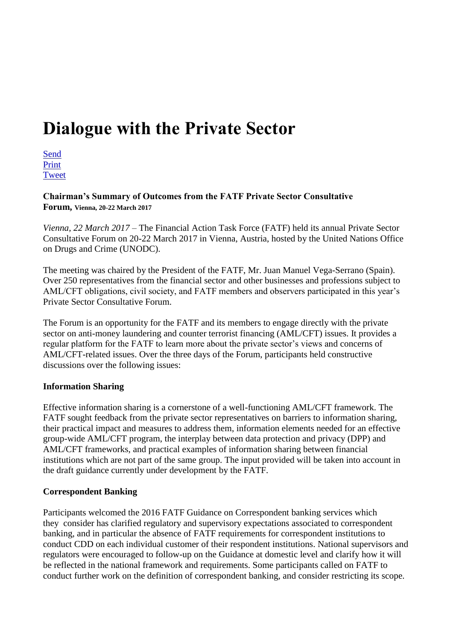# **Dialogue with the Private Sector**

[Send](mailto:?body=http://www.fatf-gafi.org//publications/fatfgeneral/documents/private-sector-mar-2017.html&subject=Dialogue%20with%20the%20Private%20Sector)  [Print](javascript:$(%22.printable%22).printThis(%7bimportCSS:%20true,importStyle:%20true,%20printDelay:%20555%20%7d);)  [Tweet](https://twitter.com/intent/tweet?text=Dialogue%20with%20the%20Private%20Sector&url=http://www.fatf-gafi.org//publications/fatfgeneral/documents/private-sector-mar-2017.html&hashtags=FATF&via=FATFNews)

**Chairman's Summary of Outcomes from the FATF Private Sector Consultative Forum, Vienna, 20-22 March 2017**

*Vienna, 22 March 2017* – The Financial Action Task Force (FATF) held its annual Private Sector Consultative Forum on 20-22 March 2017 in Vienna, Austria, hosted by the United Nations Office on Drugs and Crime (UNODC).

The meeting was chaired by the President of the FATF, Mr. Juan Manuel Vega-Serrano (Spain). Over 250 representatives from the financial sector and other businesses and professions subject to AML/CFT obligations, civil society, and FATF members and observers participated in this year's Private Sector Consultative Forum.

The Forum is an opportunity for the FATF and its members to engage directly with the private sector on anti-money laundering and counter terrorist financing (AML/CFT) issues. It provides a regular platform for the FATF to learn more about the private sector's views and concerns of AML/CFT-related issues. Over the three days of the Forum, participants held constructive discussions over the following issues:

### **Information Sharing**

Effective information sharing is a cornerstone of a well-functioning AML/CFT framework. The FATF sought feedback from the private sector representatives on barriers to information sharing, their practical impact and measures to address them, information elements needed for an effective group-wide AML/CFT program, the interplay between data protection and privacy (DPP) and AML/CFT frameworks, and practical examples of information sharing between financial institutions which are not part of the same group. The input provided will be taken into account in the draft guidance currently under development by the FATF.

# **Correspondent Banking**

Participants welcomed the 2016 FATF Guidance on Correspondent banking services which they consider has clarified regulatory and supervisory expectations associated to correspondent banking, and in particular the absence of FATF requirements for correspondent institutions to conduct CDD on each individual customer of their respondent institutions. National supervisors and regulators were encouraged to follow-up on the Guidance at domestic level and clarify how it will be reflected in the national framework and requirements. Some participants called on FATF to conduct further work on the definition of correspondent banking, and consider restricting its scope.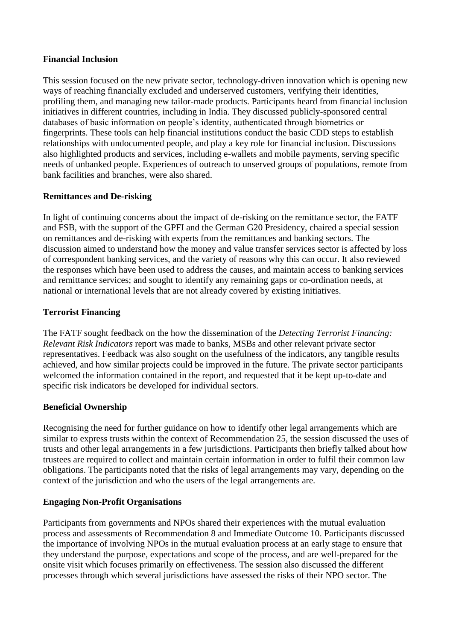### **Financial Inclusion**

This session focused on the new private sector, technology-driven innovation which is opening new ways of reaching financially excluded and underserved customers, verifying their identities, profiling them, and managing new tailor-made products. Participants heard from financial inclusion initiatives in different countries, including in India. They discussed publicly-sponsored central databases of basic information on people's identity, authenticated through biometrics or fingerprints. These tools can help financial institutions conduct the basic CDD steps to establish relationships with undocumented people, and play a key role for financial inclusion. Discussions also highlighted products and services, including e-wallets and mobile payments, serving specific needs of unbanked people. Experiences of outreach to unserved groups of populations, remote from bank facilities and branches, were also shared.

# **Remittances and De-risking**

In light of continuing concerns about the impact of de-risking on the remittance sector, the FATF and FSB, with the support of the GPFI and the German G20 Presidency, chaired a special session on remittances and de-risking with experts from the remittances and banking sectors. The discussion aimed to understand how the money and value transfer services sector is affected by loss of correspondent banking services, and the variety of reasons why this can occur. It also reviewed the responses which have been used to address the causes, and maintain access to banking services and remittance services; and sought to identify any remaining gaps or co-ordination needs, at national or international levels that are not already covered by existing initiatives.

# **Terrorist Financing**

The FATF sought feedback on the how the dissemination of the *Detecting Terrorist Financing: Relevant Risk Indicators* report was made to banks, MSBs and other relevant private sector representatives. Feedback was also sought on the usefulness of the indicators, any tangible results achieved, and how similar projects could be improved in the future. The private sector participants welcomed the information contained in the report, and requested that it be kept up-to-date and specific risk indicators be developed for individual sectors.

# **Beneficial Ownership**

Recognising the need for further guidance on how to identify other legal arrangements which are similar to express trusts within the context of Recommendation 25, the session discussed the uses of trusts and other legal arrangements in a few jurisdictions. Participants then briefly talked about how trustees are required to collect and maintain certain information in order to fulfil their common law obligations. The participants noted that the risks of legal arrangements may vary, depending on the context of the jurisdiction and who the users of the legal arrangements are.

# **Engaging Non-Profit Organisations**

Participants from governments and NPOs shared their experiences with the mutual evaluation process and assessments of Recommendation 8 and Immediate Outcome 10. Participants discussed the importance of involving NPOs in the mutual evaluation process at an early stage to ensure that they understand the purpose, expectations and scope of the process, and are well-prepared for the onsite visit which focuses primarily on effectiveness. The session also discussed the different processes through which several jurisdictions have assessed the risks of their NPO sector. The